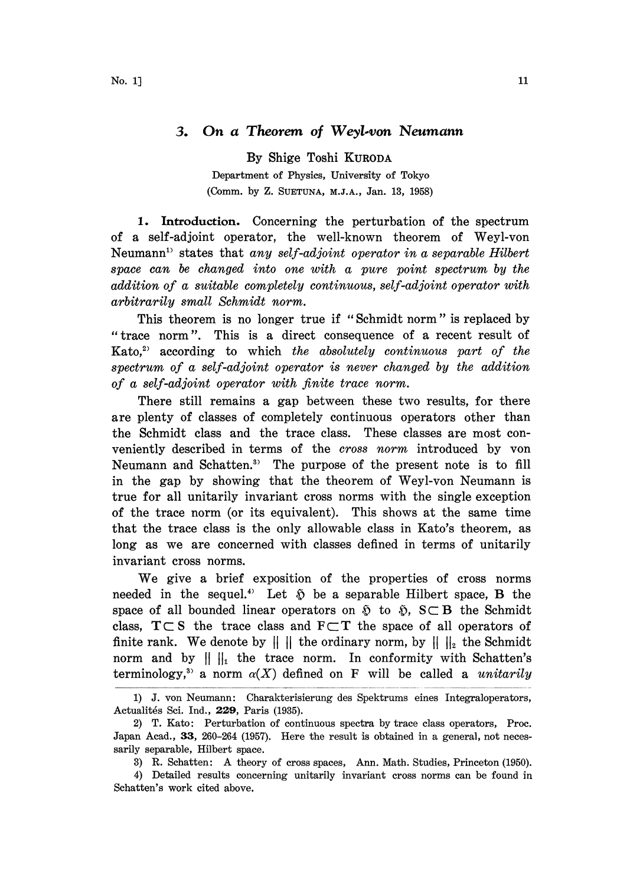## 3. On a Theorem of Weyl-von Neumann

By Shige Toshi KURODA Department of Physics, University of Tokyo (Comm. by Z. SUETUNA, M.J.A., Jan. 13, 1958)

1. Introduction. Concerning the perturbation of the spectrum of a self-adjoint operator, the well-known theorem of Weyl-von Neumann<sup>11</sup> states that any self-adjoint operator in a separable Hilbert space can be changed into one with a pure point spectrum by the addition of a suitable completely continuous, self-adjoint operator with arbitrarily small Schmidt norm.

This theorem is no longer true if "Schmidt norm" is replaced by "trace norm". This is a direct consequence of a recent result of  $Kato<sub>1</sub><sup>2)</sup> according to which the absolutely continuous part of the$ spectrum of a self-adjoint operator is never changed by the addition of a self-adjoint operator with finite trace norm.

There still remains a gap between these two results, for there are plenty of classes of completely continuous operators other than the Schmidt class and the trace class. These classes are most conveniently described in terms of the cross norm introduced by yon Neumann and Schatten.<sup>3</sup> The purpose of the present note is to fill in the gap by showing that the theorem of Weyl-von Neumann is true for all unitarily invariant cross norms with the single exception of the trace norm (or its equivalent). This shows at the same time that the trace class is the only allowable class in Kato's theorem, as long as we are concerned with classes defined in terms of unitarily invariant cross norms.

We give <sup>a</sup> brief exposition of the properties of cross norms needed in the sequel.<sup>4</sup> Let  $\tilde{v}$  be a separable Hilbert space, **B** the needed in the sequel.<sup>4</sup> Let  $\tilde{p}$  be a separable Hilbert space, **B** the space of all bounded linear operators on  $\tilde{p}$  to  $\tilde{p}$ ,  $S \subset B$  the Schmidt space of all bounded linear operators on  $\tilde{v}$  to  $\tilde{v}$ ,  $S \subset B$  the Schmidt class,  $T \subset S$  the trace class and  $F \subset T$  the space of all operators of finite rank. We denote by  $\|\cdot\|$  the ordinary norm, by  $\|\cdot\|_2$  the Schmidt norm and by  $\|\|_1$  the trace norm. In conformity with Schatten's terminology,<sup>3</sup> a norm  $\alpha(X)$  defined on F will be called a *unitarily* 

<sup>1)</sup> J. yon Neumann: Charakterisierung des Spektrums eines Integraloperators, Actualités Sci. Ind., 229, Paris (1935).

<sup>2)</sup> T. Kato: Perturbation of continuous spectra by trace class operators, Proc. Japan Acad., 33, 260–264 (1957). Here the result is obtained in a general, not necessarily separable, Hilbert space.

<sup>3)</sup> R. Schatten: A theory of cross spaces, Ann. Math. Studies, Princeton (1950).

<sup>4)</sup> Detailed results concerning unitarily invariant cross norms can be found in Schatten's work cited above.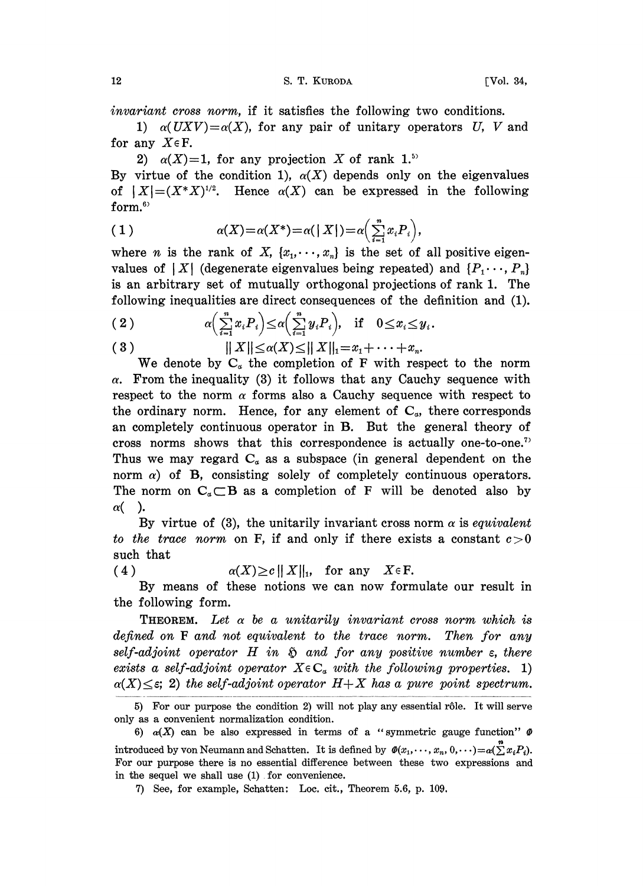invariant cross norm, if it satisfies the following two conditions.

1)  $\alpha(UXV) = \alpha(X)$ , for any pair of unitary operators U, V and for any  $X \in \mathbb{F}$ .

2)  $\alpha(X)=1$ , for any projection X of rank 1.<sup>55</sup>

By virtue of the condition 1),  $\alpha(X)$  depends only on the eigenvalues of  $|X| = (X^*X)^{1/2}$ . Hence  $\alpha(X)$  can be expressed in the following form.<sup>6</sup>

(1) 
$$
\alpha(X) = \alpha(X^*) = \alpha(|X|) = \alpha\left(\sum_{i=1}^n x_i P_i\right),
$$

where *n* is the rank of X,  $\{x_1, \dots, x_n\}$  is the set of all positive eigenvalues of  $|X|$  (degenerate eigenvalues being repeated) and  $\{P_1, \dots, P_n\}$ is an arbitrary set of mutually orthogonal projections of rank 1. The following inequalities are direct consequences of the definition and (1).

(2) 
$$
\alpha\left(\sum_{i=1}^n x_i P_i\right) \leq \alpha\left(\sum_{i=1}^n y_i P_i\right), \quad \text{if} \quad 0 \leq x_i \leq y_i.
$$

(3) 
$$
||X|| \leq \alpha(X) \leq ||X||_1 = x_1 + \cdots + x_n
$$

We denote by  $C_{\alpha}$  the completion of F with respect to the norm  $\alpha$ . From the inequality (3) it follows that any Cauchy sequence with respect to the norm  $\alpha$  forms also a Cauchy sequence with respect to the ordinary norm. Hence, for any element of  $C_{\alpha}$ , there corresponds an completely continuous operator in B. But the general theory of cross norms shows that this correspondence is actually one-to-one.<sup>7</sup> Thus we may regard  $C_a$  as a subspace (in general dependent on the norm  $\alpha$ ) of B, consisting solely of completely continuous operators. The norm on  $C_{\alpha} \subset B$  as a completion of F will be denoted also by  $\alpha$ ().

By virtue of (3), the unitarily invariant cross norm  $\alpha$  is equivalent to the trace norm on F, if and only if there exists a constant  $c>0$ such that

(4)  $\alpha(X) \ge c ||X||_1$ , for any  $X \in \mathbb{F}$ .

By means of these notions we can now formulate our result in the following form.

**THEOREM.** Let  $\alpha$  be a unitarily invariant cross norm which is defined on F and not equivalent to the trace norm. Then for any self-adjoint operator  $H$  in  $\tilde{p}$  and for any positive number  $\varepsilon$ , there exists a self-adjoint operator  $X \in \mathbb{C}_a$  with the following properties. 1)  $\alpha(X) \leq \varepsilon$ ; 2) the self-adjoint operator  $H+X$  has a pure point spectrum.

<sup>5)</sup> For our purpose the condition 2) will not play any essential r61e. It will serve only as a convenient normalization condition.

<sup>6)</sup>  $\alpha(X)$  can be also expressed in terms of a "symmetric gauge function"  $\varnothing$ introduced by von Neumann and Schatten. It is defined by  $\mathcal{O}(x_1,\dots, x_n, 0,\dots) = \alpha(\sum x_i P_i).$ For our purpose there is no essential difference between these two expressions and in the sequel we shall use (1). for convenience.

<sup>7)</sup> See, for example, Schatten: Loc. cir., Theorem 5.6, p. 109.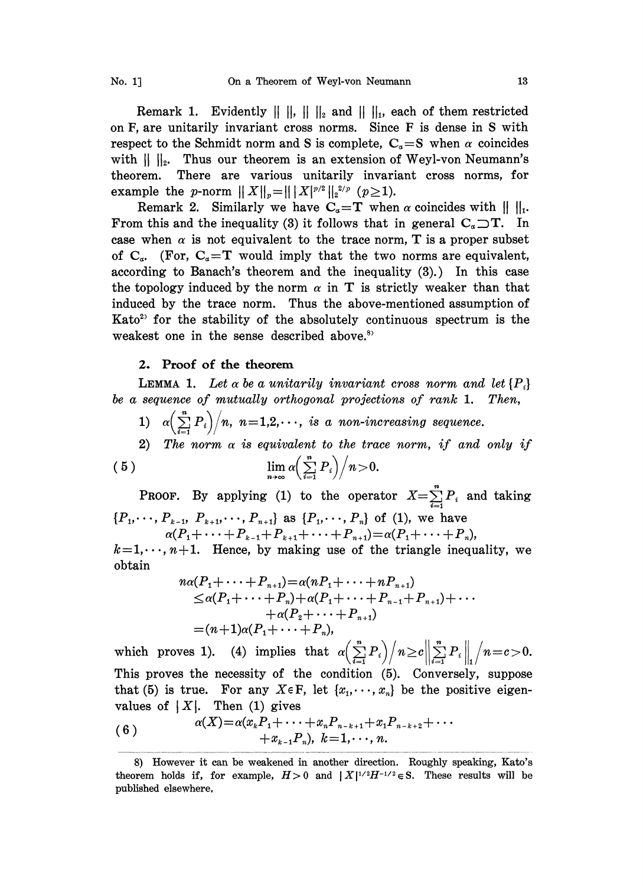Remark 1. Evidently  $\|\|\|\|_2$  and  $\|\|\|_1$ , each of them restricted on  $F$ , are unitarily invariant cross norms. Since  $F$  is dense in S with respect to the Schmidt norm and S is complete,  $C_{\alpha} = S$  when  $\alpha$  coincides with  $|| \cdot ||_2$ . Thus our theorem is an extension of Weyl-von Neumann's theorem. There are various unitarily invariant cross norms, for example the *p*-norm  $|| X ||_p = || | X |^{p/2} ||_2^{2/p}$  ( $p \ge 1$ ).

Remark 2. Similarly we have  $C_{\alpha}=T$  when  $\alpha$  coincides with  $|| \cdot ||_1$ . From this and the inequality (3) it follows that in general  $C_{\alpha} \supset T$ . In case when  $\alpha$  is not equivalent to the trace norm, T is a proper subset of  $C_{\alpha}$ . (For,  $C_{\alpha}=T$  would imply that the two norms are equivalent, according to Banach's theorem and the inequality (3).) In this case the topology induced by the norm  $\alpha$  in T is strictly weaker than that induced by the trace norm. Thus the above-mentioned assumption of Kato<sup>2</sup> for the stability of the absolutely continuous spectrum is the weakest one in the sense described above.<sup>8)</sup>

## 2. Proof of the theorem

**LEMMA 1.** Let  $\alpha$  be a unitarily invariant cross norm and let  $\{P_i\}$ be a sequence of mutually orthogonal projections of rank 1. Then,

- 1)  $\alpha \left( \frac{n}{n-1} P_i \right) / n$ ,  $n=1,2,\cdots$ , is a non-increasing sequence.
- 2) The norm  $\alpha$  is equivalent to the trace norm, if and only if  $\lim_{n\to\infty} \alpha\left(\sum_{i=1}^n P_i\right)\bigg/n\!>\!0.$  $(5)$

**PROOF.** By applying (1) to the operator  $X = \sum_{i=1}^{n} P_i$  and taking  $\{P_1, \dots, P_{k-1}, P_{k+1}, \dots, P_{n+1}\}$  as  $\{P_1, \dots, P_n\}$  of (1), we have

 $\alpha(P_1+\cdots+P_{k-1}+P_{k+1}+\cdots+P_{n+1})=\alpha(P_1+\cdots+P_n),$ 

 $+\cdots+{P}_{n}),$ <br>angle inequ  $k=1,\cdots, n+1.$  Hence, by making use of the triangle inequality, we obtain

$$
n\alpha(P_1 + \cdots + P_{n+1}) = \alpha(nP_1 + \cdots + nP_{n+1})
$$
  
\n
$$
\leq \alpha(P_1 + \cdots + P_n) + \alpha(P_1 + \cdots + P_{n-1} + P_{n+1}) + \cdots
$$
  
\n
$$
+ \alpha(P_2 + \cdots + P_{n+1})
$$
  
\n
$$
= (n+1)\alpha(P_1 + \cdots + P_n),
$$

which proves 1). (4) implies that  $\alpha \left(\sum_{i=1}^n P_i\right) / n \ge c \left\|\sum_{i=1}^n P_i\right\|_1 / n = c > 0$ . This proves the necessity of the condition (5). Conversely, suppose that (5) is true. For any  $X \in \mathbb{F}$ , let  $\{x_1, \dots, x_n\}$  be the positive eigenvalues of  $|X|$ . Then (1) gives

(6) 
$$
\alpha(X) = \alpha(x_k P_1 + \cdots + x_n P_{n-k+1} + x_1 P_{n-k+2} + \cdots + x_{k-1} P_n), k = 1, \cdots, n.
$$

<sup>8)</sup> However it can be weakened in another direction. Roughly speaking, Kato's theorem holds if, for example,  $H>0$  and  $|X|^{1/2}H^{-1/2} \in S$ . These results will be published elsewhere,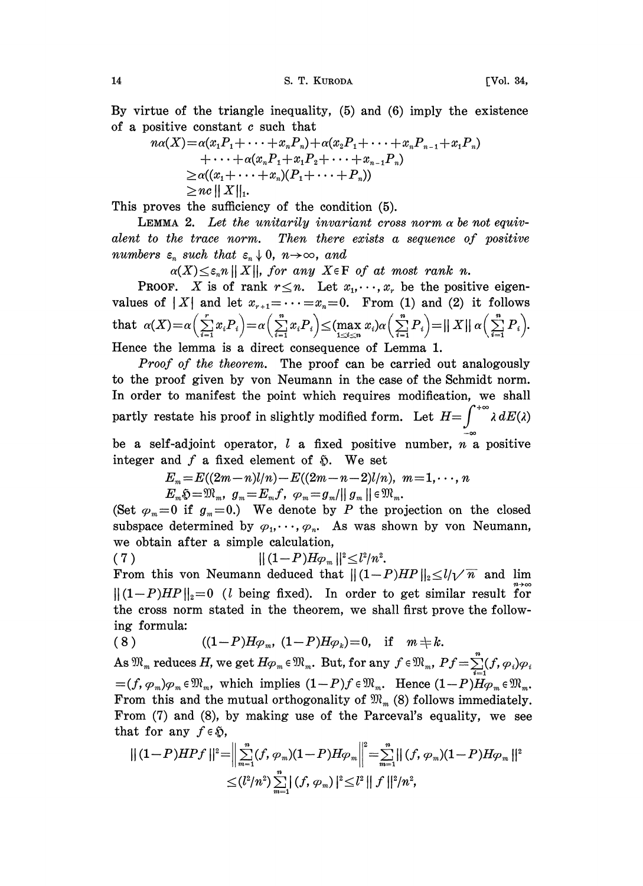14 S.T. KURODA [Vol. 34,

By virtue of the triangle inequality, (5) and (6) imply the existence of a positive constant  $c$  such that

$$
n\alpha(X) = \alpha(x_1P_1 + \dots + x_nP_n) + \alpha(x_2P_1 + \dots + x_nP_{n-1} + x_1P_n)
$$
  
+ 
$$
\dots + \alpha(x_nP_1 + x_1P_2 + \dots + x_{n-1}P_n)
$$
  

$$
\ge \alpha((x_1 + \dots + x_n)(P_1 + \dots + P_n))
$$
  

$$
\ge n\alpha ||X||_1.
$$

This proves the sufficiency of the condition (5).

LEMMA 2. Let the unitarily invariant cross norm  $\alpha$  be not equivalent to the trace norm. Then there exists a sequence of positive numbers  $\varepsilon_n$  such that  $\varepsilon_n \downarrow 0$ ,  $n \to \infty$ , and

 $\alpha(X) \leq \varepsilon_n n ||X||$ , for any  $X \in \mathbb{F}$  of at most rank n.

**PROOF.** X is of rank  $r \leq n$ . Let  $x_1, \dots, x_r$  be the positive eigenvalues of |X| and let  $x_{r+1} = \cdots = x_n = 0$ . From (1) and (2) it follows that  $\alpha(X) = \alpha\left(\sum_{i=1}^r x_i P_i\right) = \alpha\left(\sum_{i=1}^n x_i P_i\right) \leq (\max_{1 \leq i \leq n} x_i) \alpha\left(\sum_{i=1}^n P_i\right) = ||X|| \alpha\left(\sum_{i=1}^n P_i\right).$ Hence the lemma is a direct consequence of Lemma 1.

Proof of the theorem. The proof can be carried out analogously to the proof given by von Neumann in the case of the Schmidt norm. In order to manifest the point which requires modification, we shall partly restate his proof in slightly modified form. Let  $H=\int^{+\infty} \lambda dE(\lambda)$ 

be a self-adjoint operator,  $l$  a fixed positive number,  $n$  a positive integer and  $f$  a fixed element of  $\tilde{p}$ . We set

> $E_m = E((2m-n)l/n) - E((2m-n-2)l/n), m=1,\dots, n$  $E_m\mathfrak{H}=\mathfrak{M}_m, g_m=E_mf, \varphi_m=g_m/||g_m||\in\mathfrak{M}_m.$

(Set  $\varphi_m=0$  if  $g_m=0$ .) We denote by P the projection on the closed subspace determined by  $\varphi_1, \dots, \varphi_n$ . As was shown by von Neumann, we obtain after a simple calculation,

( 7 ) iii  $\| (1 - P) H \varphi_m \|^{2} \le l^2 / n^2$ .

From this von Neumann deduced that  $||(1-P)HP||_2 \le l/\sqrt{n}$  and lim  $||(1-P)HP||_2=0$  (*l* being fixed). In order to get similar result for the cross norm stated in the theorem, we shall first prove the following formula:

(8) 
$$
((1-P)H_{\varphi_m}, (1-P)H_{\varphi_k})=0
$$
, if  $m \neq k$ .

 $(8) \hspace{1cm} ((1-P)H_{\mathcal{P}_m}, \ (1-P)H_{\mathcal{P}_k}) = 0, \quad \text{if} \quad m \neq k. \ \text{As } \mathfrak{M}_m \text{ reduces } H, \text{ we get } H_{\mathcal{P}_m} \in \mathfrak{M}_m. \text{ But, for any } f \in \mathfrak{M}_m, \ Pf=\sum_{i=1}^n (f, \varphi_i) \varphi_i.$ (c)<br>
As  $\mathfrak{M}_m$  reduces H, we get  $H\varphi_m \in \mathfrak{M}_m$ . But, for any  $f \in \mathfrak{M}_m$ ,  $Pf = \sum_{i=1}^n (f, \varphi_i) \varphi_i$ <br>  $=(f, \varphi_m)\varphi_m \in \mathfrak{M}_m$ , which implies  $(1-P)f \in \mathfrak{M}_m$ . Hence  $(1-P)H\varphi_m \in \mathfrak{M}_m$ .<br>
From this and the mutu From this and the mutual orthogonality of  $\mathfrak{M}_m$  (8) follows immediately. From (7) and (8), by making use of the Parceval's equality, we see that for any  $f \in \mathfrak{H}$ ,

$$
\begin{aligned} || \, (1-P)HPf \, ||^2 = & \Big\| \sum_{m=1}^n (f,\, \varphi_m)(1-P)H\varphi_m \Big\|^2 = \sum_{m=1}^n || \, (f,\, \varphi_m)(1-P)H\varphi_m \, ||^2 \\ & \leq (l^2/n^2) \sum_{m=1}^n || \, (f,\, \varphi_m) \, ||^2 \leq l^2 ||\, f \, ||^2/n^2, \end{aligned}
$$